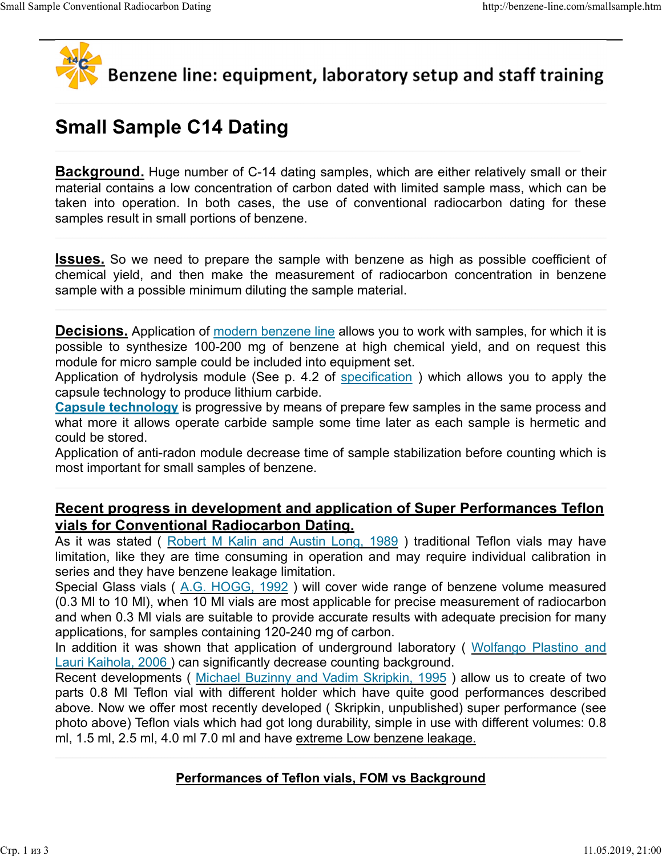

Small Sample Conventional Radiocarbon Dating http://benzene-line.com/smallsample.htm

# Small Sample C14 Dating

**Background.** Huge number of C-14 dating samples, which are either relatively small or their material contains a low concentration of carbon dated with limited sample mass, which can be the conventional Radiocarbon Dating<br> **Example 214 Dating**<br> **Small Sample C14 Dating**<br> **Example 214 Dating**<br> **Example 214 Dating**<br> **Example 214 Dating**<br> **Example 214 Dating**<br> **Example 214 Dating**<br> **Examples** a low concentra samples result in small portions of benzene.

**Issues.** So we need to prepare the sample with benzene as high as possible coefficient of chemical yield, and then make the measurement of radiocarbon concentration in benzene sample with a possible minimum diluting the sample material.

**Decisions.** Application of modern benzene line allows you to work with samples, for which it is possible to synthesize 100-200 mg of benzene at high chemical yield, and on request this module for micro sample could be included into equipment set.

Application of hydrolysis module (See p. 4.2 of specification ) which allows you to apply the capsule technology to produce lithium carbide.

Capsule technology is progressive by means of prepare few samples in the same process and what more it allows operate carbide sample some time later as each sample is hermetic and could be stored.

Application of anti-radon module decrease time of sample stabilization before counting which is most important for small samples of benzene.

# Recent progress in development and application of Super Performances Teflon vials for Conventional Radiocarbon Dating.

As it was stated ( Robert M Kalin and Austin Long, 1989 ) traditional Teflon vials may have limitation, like they are time consuming in operation and may require individual calibration in series and they have benzene leakage limitation.

Special Glass vials ( A.G. HOGG, 1992 ) will cover wide range of benzene volume measured (0.3 Ml to 10 Ml), when 10 Ml vials are most applicable for precise measurement of radiocarbon and when 0.3 Ml vials are suitable to provide accurate results with adequate precision for many applications, for samples containing 120-240 mg of carbon.

In addition it was shown that application of underground laboratory ( Wolfango Plastino and Lauri Kaihola, 2006 ) can significantly decrease counting background.

Recent developments ( Michael Buzinny and Vadim Skripkin, 1995 ) allow us to create of two parts 0.8 Ml Teflon vial with different holder which have quite good performances described above. Now we offer most recently developed ( Skripkin, unpublished) super performance (see photo above) Teflon vials which had got long durability, simple in use with different volumes: 0.8 ml, 1.5 ml, 2.5 ml, 4.0 ml 7.0 ml and have extreme Low benzene leakage.

### Performances of Teflon vials, FOM vs Background